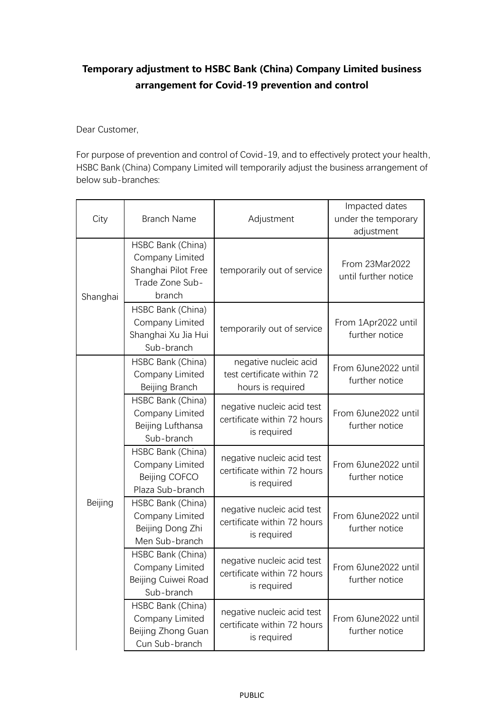## **Temporary adjustment to HSBC Bank (China) Company Limited business arrangement for Covid-19 prevention and control**

Dear Customer,

For purpose of prevention and control of Covid-19, and to effectively protect your health, HSBC Bank (China) Company Limited will temporarily adjust the business arrangement of below sub-branches:

| City     | <b>Branch Name</b>                                                                       | Adjustment                                                               | Impacted dates<br>under the temporary<br>adjustment |
|----------|------------------------------------------------------------------------------------------|--------------------------------------------------------------------------|-----------------------------------------------------|
| Shanghai | HSBC Bank (China)<br>Company Limited<br>Shanghai Pilot Free<br>Trade Zone Sub-<br>branch | temporarily out of service                                               | From 23Mar2022<br>until further notice              |
|          | HSBC Bank (China)<br>Company Limited<br>Shanghai Xu Jia Hui<br>Sub-branch                | temporarily out of service                                               | From 1Apr2022 until<br>further notice               |
| Beijing  | HSBC Bank (China)<br>Company Limited<br>Beijing Branch                                   | negative nucleic acid<br>test certificate within 72<br>hours is required | From 6June2022 until<br>further notice              |
|          | HSBC Bank (China)<br>Company Limited<br>Beijing Lufthansa<br>Sub-branch                  | negative nucleic acid test<br>certificate within 72 hours<br>is required | From 6June2022 until<br>further notice              |
|          | HSBC Bank (China)<br>Company Limited<br>Beijing COFCO<br>Plaza Sub-branch                | negative nucleic acid test<br>certificate within 72 hours<br>is required | From 6June2022 until<br>further notice              |
|          | HSBC Bank (China)<br>Company Limited<br>Beijing Dong Zhi<br>Men Sub-branch               | negative nucleic acid test<br>certificate within 72 hours<br>is required | From 6June2022 until<br>further notice              |
|          | HSBC Bank (China)<br>Company Limited<br>Beijing Cuiwei Road<br>Sub-branch                | negative nucleic acid test<br>certificate within 72 hours<br>is required | From 6June2022 until<br>further notice              |
|          | HSBC Bank (China)<br>Company Limited<br>Beijing Zhong Guan<br>Cun Sub-branch             | negative nucleic acid test<br>certificate within 72 hours<br>is required | From 6June2022 until<br>further notice              |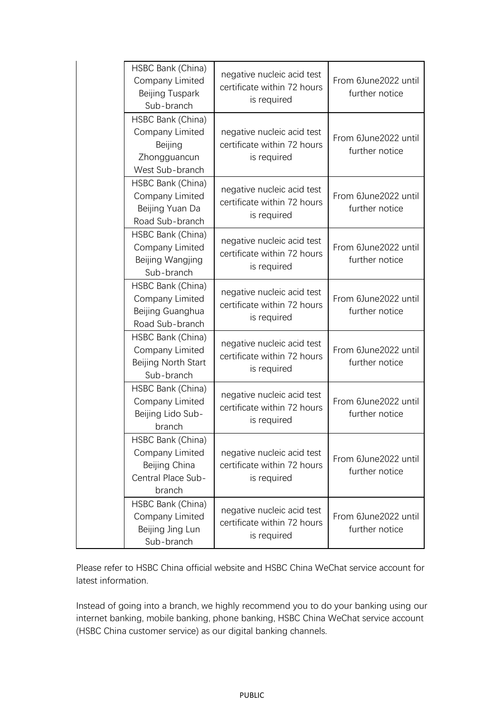| HSBC Bank (China)<br>Company Limited<br>Beijing Tuspark<br>Sub-branch                 | negative nucleic acid test<br>certificate within 72 hours<br>is required | From 6June2022 until<br>further notice |
|---------------------------------------------------------------------------------------|--------------------------------------------------------------------------|----------------------------------------|
| HSBC Bank (China)<br>Company Limited<br>Beijing<br>Zhongguancun<br>West Sub-branch    | negative nucleic acid test<br>certificate within 72 hours<br>is required | From 6June2022 until<br>further notice |
| HSBC Bank (China)<br>Company Limited<br>Beijing Yuan Da<br>Road Sub-branch            | negative nucleic acid test<br>certificate within 72 hours<br>is required | From 6June2022 until<br>further notice |
| HSBC Bank (China)<br>Company Limited<br>Beijing Wangjing<br>Sub-branch                | negative nucleic acid test<br>certificate within 72 hours<br>is required | From 6June2022 until<br>further notice |
| HSBC Bank (China)<br>Company Limited<br>Beijing Guanghua<br>Road Sub-branch           | negative nucleic acid test<br>certificate within 72 hours<br>is required | From 6June2022 until<br>further notice |
| HSBC Bank (China)<br>Company Limited<br>Beijing North Start<br>Sub-branch             | negative nucleic acid test<br>certificate within 72 hours<br>is required | From 6June2022 until<br>further notice |
| HSBC Bank (China)<br>Company Limited<br>Beijing Lido Sub-<br>branch                   | negative nucleic acid test<br>certificate within 72 hours<br>is required | From 6June2022 until<br>further notice |
| HSBC Bank (China)<br>Company Limited<br>Beijing China<br>Central Place Sub-<br>branch | negative nucleic acid test<br>certificate within 72 hours<br>is required | From 6June2022 until<br>further notice |
| HSBC Bank (China)<br>Company Limited<br>Beijing Jing Lun<br>Sub-branch                | negative nucleic acid test<br>certificate within 72 hours<br>is required | From 6June2022 until<br>further notice |

Please refer to HSBC China official website and HSBC China WeChat service account for latest information.

Instead of going into a branch, we highly recommend you to do your banking using our internet banking, mobile banking, phone banking, HSBC China WeChat service account (HSBC China customer service) as our digital banking channels.